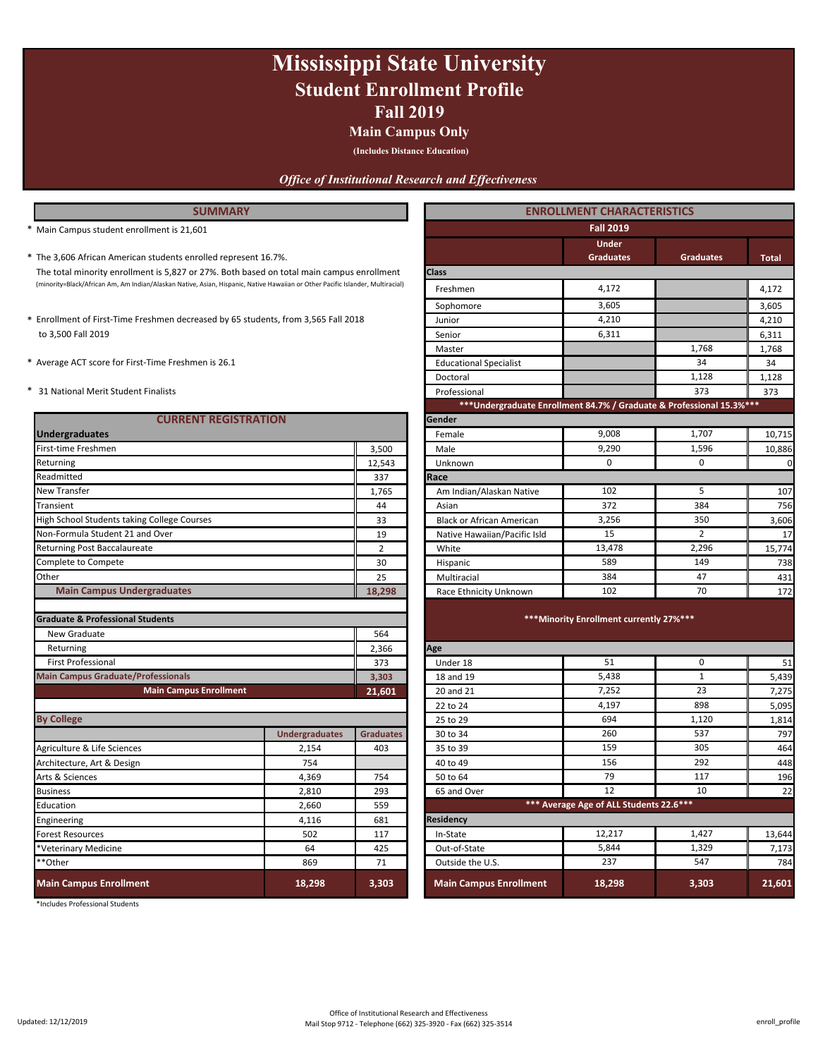## **Fall 2019 Mississippi State University Student Enrollment Profile**

### **Main Campus Only**

**(Includes Distance Education)**

### *Office of Institutional Research and Effectiveness*

### **SUMMARY**

- \* **Total** The 3,606 African American students enrolled represent 16.7%. **Graduates Graduates** The total minority enrollment is 5,827 or 27%. Both based on total main campus enrollment (minority=Black/African Am, Am Indian/Alaskan Native, Asian, Hispanic, Native Hawaiian or Other Pacific Islander, Multiracial) 4,172
- to 3,500 Fall 2019
- 
- 

| <b>CURRENT REGISTRATION</b>                                 |                       |                  | Gender                                  |                                          |                |        |  |
|-------------------------------------------------------------|-----------------------|------------------|-----------------------------------------|------------------------------------------|----------------|--------|--|
| <b>Undergraduates</b>                                       |                       |                  | Female                                  | 9,008                                    | 1,707          | 10,715 |  |
| First-time Freshmen                                         |                       | 3,500            | Male                                    | 9,290                                    | 1,596          | 10,886 |  |
| Returning                                                   |                       | 12,543           | Unknown                                 | $\mathbf 0$                              | $\mathbf{0}$   | 0      |  |
| Readmitted                                                  |                       | 337              | Race                                    |                                          |                |        |  |
| New Transfer                                                |                       | 1,765            | Am Indian/Alaskan Native                | 102                                      | 5              | 107    |  |
| Transient                                                   |                       | 44               | Asian                                   | 372                                      | 384            | 756    |  |
| High School Students taking College Courses                 |                       | 33               | <b>Black or African American</b>        | 3,256                                    | 350            | 3,606  |  |
| Non-Formula Student 21 and Over                             |                       | 19               | Native Hawaiian/Pacific Isld            | 15                                       | $\overline{2}$ | 17     |  |
| Returning Post Baccalaureate                                |                       | $\overline{2}$   | White                                   | 13,478                                   | 2,296          | 15,774 |  |
| Complete to Compete                                         |                       | 30               | Hispanic                                | 589                                      | 149            | 738    |  |
| Other                                                       |                       | 25               | Multiracial                             | 384                                      | 47             | 431    |  |
| <b>Main Campus Undergraduates</b>                           |                       | 18,298           | Race Ethnicity Unknown                  | 102                                      | 70             | 172    |  |
| <b>Graduate &amp; Professional Students</b><br>New Graduate |                       | 564              |                                         | *** Minority Enrollment currently 27%*** |                |        |  |
| Returning                                                   |                       | 2,366            | Age                                     |                                          |                |        |  |
| <b>First Professional</b>                                   |                       | 373              | Under 18                                | 51                                       | 0              | 51     |  |
| <b>Main Campus Graduate/Professionals</b>                   |                       | 3,303            | 18 and 19                               | 5,438                                    | $\mathbf{1}$   | 5,439  |  |
| <b>Main Campus Enrollment</b>                               |                       | 21,601           | 20 and 21                               | 7,252                                    | 23             | 7,275  |  |
|                                                             |                       |                  | 22 to 24                                | 4,197                                    | 898            | 5,095  |  |
| <b>By College</b>                                           |                       |                  | 25 to 29                                | 694                                      | 1,120          | 1,814  |  |
|                                                             | <b>Undergraduates</b> | <b>Graduates</b> | 30 to 34                                | 260                                      | 537            | 797    |  |
| Agriculture & Life Sciences                                 | 2,154                 | 403              | 35 to 39                                | 159                                      | 305            | 464    |  |
| Architecture, Art & Design                                  | 754                   |                  | 40 to 49                                | 156                                      | 292            | 448    |  |
| Arts & Sciences                                             | 4,369                 | 754              | 50 to 64                                | 79<br>12                                 | 117            | 196    |  |
| <b>Business</b>                                             | 2,810                 | 293              | 65 and Over                             |                                          | 10             | 22     |  |
| Education<br>2,660<br>559                                   |                       |                  | *** Average Age of ALL Students 22.6*** |                                          |                |        |  |
| Engineering                                                 | 4,116                 | 681              | <b>Residency</b>                        |                                          |                |        |  |
| <b>Forest Resources</b>                                     | 502                   | 117              | In-State                                | 12,217                                   | 1,427          | 13,644 |  |
| *Veterinary Medicine                                        | 64                    | 425              | Out-of-State                            | 5,844                                    | 1,329          | 7,173  |  |
| **Other                                                     | 869                   | 71               | Outside the U.S.                        | 237                                      | 547            | 784    |  |
| <b>Main Campus Enrollment</b>                               | 18,298                | 3,303            | <b>Main Campus Enrollment</b>           | 18,298                                   | 3,303          | 21,601 |  |

\*Includes Professional Students

| <b>SUMMARY</b>                                                                                                                 |                       |                  | <b>ENROLLMENT CHARACTERISTICS</b>                                     |                                          |                  |              |  |
|--------------------------------------------------------------------------------------------------------------------------------|-----------------------|------------------|-----------------------------------------------------------------------|------------------------------------------|------------------|--------------|--|
| * Main Campus student enrollment is 21,601                                                                                     |                       |                  |                                                                       | <b>Fall 2019</b>                         |                  |              |  |
|                                                                                                                                |                       |                  |                                                                       | <b>Under</b>                             |                  |              |  |
| * The 3,606 African American students enrolled represent 16.7%.                                                                |                       |                  |                                                                       | <b>Graduates</b>                         | <b>Graduates</b> | <b>Total</b> |  |
| The total minority enrollment is 5,827 or 27%. Both based on total main campus enrollment                                      |                       |                  | <b>Class</b>                                                          |                                          |                  |              |  |
| (minority=Black/African Am, Am Indian/Alaskan Native, Asian, Hispanic, Native Hawaiian or Other Pacific Islander, Multiracial) |                       |                  | Freshmen                                                              | 4,172                                    |                  | 4,172        |  |
|                                                                                                                                |                       |                  | Sophomore                                                             | 3,605                                    |                  | 3,605        |  |
| * Enrollment of First-Time Freshmen decreased by 65 students, from 3,565 Fall 2018                                             |                       |                  | Junior                                                                | 4,210                                    |                  | 4,210        |  |
| to 3,500 Fall 2019                                                                                                             |                       |                  | Senior                                                                | 6,311                                    |                  | 6,311        |  |
|                                                                                                                                |                       |                  | Master                                                                |                                          | 1,768            | 1,768        |  |
| * Average ACT score for First-Time Freshmen is 26.1                                                                            |                       |                  | <b>Educational Specialist</b>                                         |                                          | 34               | 34           |  |
|                                                                                                                                |                       |                  | Doctoral                                                              |                                          | 1,128            | 1,128        |  |
| * 31 National Merit Student Finalists                                                                                          |                       |                  | Professional                                                          |                                          | 373              | 373          |  |
|                                                                                                                                |                       |                  | *** Undergraduate Enrollment 84.7% / Graduate & Professional 15.3%*** |                                          |                  |              |  |
| <b>CURRENT REGISTRATION</b>                                                                                                    |                       |                  | Gender                                                                |                                          |                  |              |  |
| <b>Undergraduates</b>                                                                                                          |                       |                  | Female                                                                | 9,008                                    | 1,707            | 10,715       |  |
| First-time Freshmen                                                                                                            |                       | 3,500            | Male                                                                  | 9,290                                    | 1,596            | 10,886       |  |
| Returning                                                                                                                      |                       | 12,543           | Unknown                                                               | $\Omega$                                 | $\Omega$         | $\mathbf 0$  |  |
| Readmitted                                                                                                                     |                       | 337              | Race                                                                  |                                          |                  |              |  |
| New Transfer                                                                                                                   |                       | 1,765            | Am Indian/Alaskan Native                                              | 102                                      | 5                | 107          |  |
| Transient                                                                                                                      |                       | 44               | Asian                                                                 | 372                                      | 384              | 756          |  |
| High School Students taking College Courses                                                                                    |                       | 33               | <b>Black or African American</b>                                      | 3,256                                    | 350              | 3,606        |  |
| Non-Formula Student 21 and Over                                                                                                |                       | 19               | Native Hawaiian/Pacific Isld                                          | 15                                       | $\overline{2}$   | 17           |  |
| Returning Post Baccalaureate                                                                                                   |                       | $\overline{2}$   | White                                                                 | 13,478                                   | 2,296            | 15,774       |  |
| Complete to Compete                                                                                                            |                       | 30               | Hispanic                                                              | 589                                      | 149              | 738          |  |
| Other                                                                                                                          |                       | 25               | Multiracial                                                           | 384                                      | 47               | 431          |  |
| <b>Main Campus Undergraduates</b>                                                                                              |                       | 18,298           | Race Ethnicity Unknown                                                | 102                                      | 70               | 172          |  |
|                                                                                                                                |                       |                  |                                                                       |                                          |                  |              |  |
| <b>Graduate &amp; Professional Students</b>                                                                                    |                       |                  |                                                                       | *** Minority Enrollment currently 27%*** |                  |              |  |
| New Graduate                                                                                                                   |                       | 564              |                                                                       |                                          |                  |              |  |
| Returning                                                                                                                      |                       | 2,366            | Age                                                                   |                                          |                  |              |  |
| First Professional                                                                                                             |                       | 373              | Under 18                                                              | 51                                       | $\mathbf 0$      | 51           |  |
| <b>Main Campus Graduate/Professionals</b>                                                                                      |                       | 3,303            | 18 and 19                                                             | 5,438                                    | $\mathbf{1}$     | 5,439        |  |
| <b>Main Campus Enrollment</b>                                                                                                  |                       | 21,601           | 20 and 21                                                             | 7,252                                    | 23               | 7,275        |  |
|                                                                                                                                |                       |                  | 22 to 24                                                              | 4,197                                    | 898              | 5,095        |  |
| <b>By College</b>                                                                                                              |                       |                  | 25 to 29                                                              | 694                                      | 1,120            | 1,814        |  |
|                                                                                                                                | <b>Undergraduates</b> | <b>Graduates</b> | 30 to 34                                                              | 260                                      | 537              | 797          |  |
| Agriculture & Life Sciences                                                                                                    | 2,154                 | 403              | 35 to 39                                                              | 159                                      | 305              | 464          |  |
| Architecture, Art & Design                                                                                                     | 754                   |                  | 40 to 49                                                              | 156                                      | 292              | 448          |  |
| Arts & Sciences                                                                                                                | 4,369                 | 754              | 50 to 64                                                              | 79                                       | 117              | 196          |  |
| <b>Business</b>                                                                                                                | 2,810                 | 293              | 65 and Over                                                           | 12                                       | 10               | 22           |  |
| Education                                                                                                                      | 2,660                 | 559              |                                                                       | *** Average Age of ALL Students 22.6***  |                  |              |  |
| Engineering                                                                                                                    | 4,116                 | 681              | Residency                                                             |                                          |                  |              |  |

| <b>Residency</b>       |        |       |        |
|------------------------|--------|-------|--------|
| In-State               | 12,217 | 1.427 | 13,644 |
| Out-of-State           | 5.844  | 1,329 | 7.173  |
| Outside the U.S.       | 237    | 547   | 784    |
| Main Campus Enrollment | 18,298 | 3,303 | 21,601 |

Updated: 12/12/2019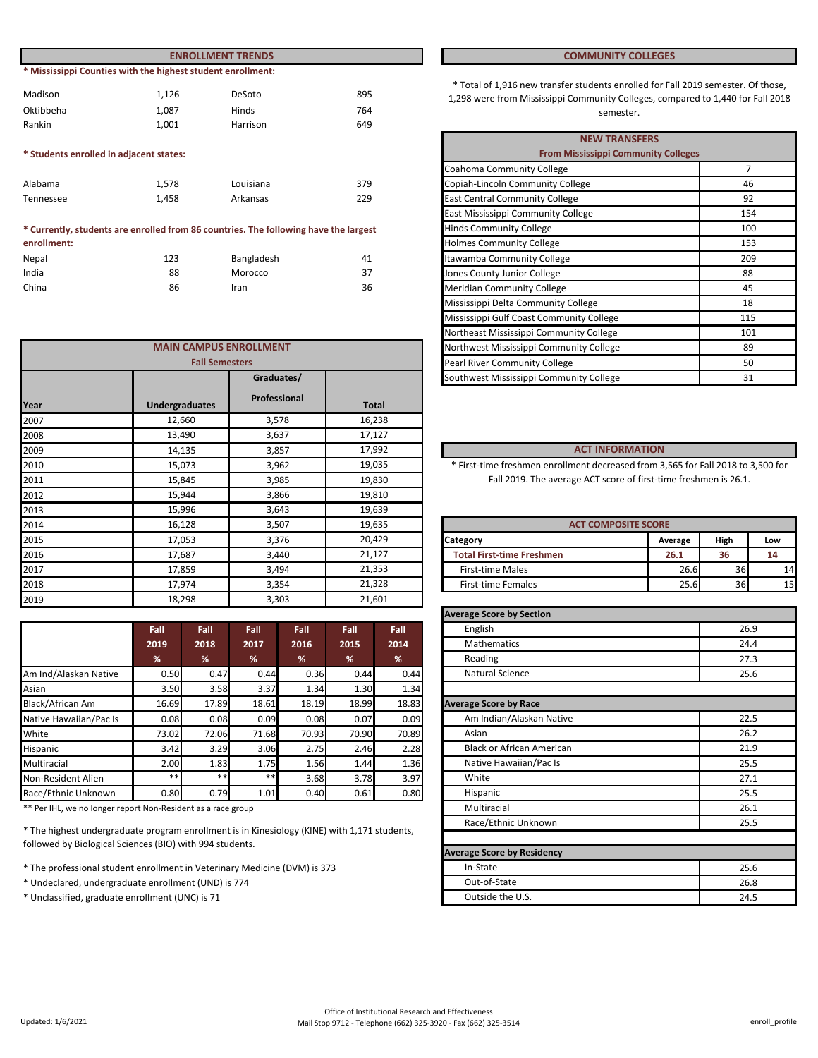| <b>ENROLLMENT TRENDS</b>                |                                                             |           |     | <b>COMMUNITY COLLEGES</b>                                                                                                 |
|-----------------------------------------|-------------------------------------------------------------|-----------|-----|---------------------------------------------------------------------------------------------------------------------------|
|                                         | * Mississippi Counties with the highest student enrollment: |           |     |                                                                                                                           |
| Madison                                 | 1.126                                                       | DeSoto    | 895 | * Total of 1,916 new transfer students enrolled for Fall 2019<br>1,298 were from Mississippi Community Colleges, compared |
| Oktibbeha                               | 1.087                                                       | Hinds     | 764 | semester.                                                                                                                 |
| Rankin                                  | 1.001                                                       | Harrison  | 649 |                                                                                                                           |
|                                         |                                                             |           |     | <b>NEW TRANSFERS</b>                                                                                                      |
| * Students enrolled in adjacent states: |                                                             |           |     | <b>From Mississippi Community Colleges</b>                                                                                |
|                                         |                                                             |           |     | Coahoma Community College                                                                                                 |
| Alabama                                 | 1.578                                                       | Louisiana | 379 | Copiah-Lincoln Community College                                                                                          |
| Tennessee                               | 1.458                                                       | Arkansas  | 229 | <b>East Central Community College</b>                                                                                     |

#### Nepal 123 Bangladesh 41 Bangladesh **\* Currently, students are enrolled from 86 countries. The following have the largest enrollment:**

| <b>NEDAI</b> | ⊥∠⊃ | <b>Daligiauesii</b> | 41 |
|--------------|-----|---------------------|----|
| India        | 88  | Morocco             | 37 |
| China        | 86  | Iran                | 36 |

|            | <b>MAIN CAMPUS ENROLLMENT</b> |                                         |              | Northwest Mississippi Community College                                          |                            | 89   |     |
|------------|-------------------------------|-----------------------------------------|--------------|----------------------------------------------------------------------------------|----------------------------|------|-----|
|            | <b>Fall Semesters</b>         |                                         |              | Pearl River Community College                                                    |                            |      | 50  |
| Graduates/ |                               | Southwest Mississippi Community College |              | 31                                                                               |                            |      |     |
| Year       | <b>Undergraduates</b>         | Professional                            | <b>Total</b> |                                                                                  |                            |      |     |
| 2007       | 12,660                        | 3,578                                   | 16,238       |                                                                                  |                            |      |     |
| 2008       | 13,490                        | 3,637                                   | 17,127       |                                                                                  |                            |      |     |
| 2009       | 14,135                        | 3,857                                   | 17,992       | <b>ACT INFORMATION</b>                                                           |                            |      |     |
| 2010       | 15,073                        | 3,962                                   | 19,035       | * First-time freshmen enrollment decreased from 3,565 for Fall 2018 to 3,500 for |                            |      |     |
| 2011       | 15,845                        | 3,985                                   | 19,830       | Fall 2019. The average ACT score of first-time freshmen is 26.1.                 |                            |      |     |
| 2012       | 15,944                        | 3,866                                   | 19,810       |                                                                                  |                            |      |     |
| 2013       | 15,996                        | 3,643                                   | 19,639       |                                                                                  |                            |      |     |
| 2014       | 16,128                        | 3,507                                   | 19,635       |                                                                                  | <b>ACT COMPOSITE SCORE</b> |      |     |
| 2015       | 17,053                        | 3,376                                   | 20,429       | <b>Category</b>                                                                  | Average                    | High | Low |
| 2016       | 17,687                        | 3,440                                   | 21,127       | <b>Total First-time Freshmen</b>                                                 | 26.1                       | 36   | 14  |
| 2017       | 17,859                        | 3,494                                   | 21,353       | <b>First-time Males</b>                                                          | 26.6                       | 36   | 14  |
| 2018       | 17,974                        | 3,354                                   | 21,328       | <b>First-time Females</b>                                                        | 25.6                       | 36   | 15  |
| 2019       | 18,298                        | 3,303                                   | 21,601       |                                                                                  |                            |      |     |
|            |                               |                                         |              |                                                                                  |                            |      |     |

|                        | Fall  | Fall  | Fall  | Fall  | Fall  | Fall  |
|------------------------|-------|-------|-------|-------|-------|-------|
|                        | 2019  | 2018  | 2017  | 2016  | 2015  | 2014  |
|                        | %     | %     | %     | %     | %     | %     |
| Am Ind/Alaskan Native  | 0.50  | 0.47  | 0.44  | 0.36  | 0.44  | 0.44  |
| Asian                  | 3.50  | 3.58  | 3.37  | 1.34  | 1.30  | 1.34  |
| Black/African Am       | 16.69 | 17.89 | 18.61 | 18.19 | 18.99 | 18.83 |
| Native Hawaiian/Pac Is | 0.08  | 0.08  | 0.09  | 0.08  | 0.07  | 0.09  |
| White                  | 73.02 | 72.06 | 71.68 | 70.93 | 70.90 | 70.89 |
| Hispanic               | 3.42  | 3.29  | 3.06  | 2.75  | 2.46  | 2.28  |
| Multiracial            | 2.00  | 1.83  | 1.75  | 1.56  | 1.44  | 1.36  |
| Non-Resident Alien     | $***$ | $***$ | $* *$ | 3.68  | 3.78  | 3.97  |
| Race/Ethnic Unknown    | 0.80  | 0.79  | 1.01  | 0.40  | 0.61  | 0.80  |

\*\* Per IHL, we no longer report Non-Resident as a race group

\* The highest undergraduate program enrollment is in Kinesiology (KINE) with 1,171 students, followed by Biological Sciences (BIO) with 994 students.

- \* The professional student enrollment in Veterinary Medicine (DVM) is 373
- \* Undeclared, undergraduate enrollment (UND) is 774
- \* Unclassified, graduate enrollment (UNC) is 71

#### **COMMUNITY COLLEGES**

\* Total of 1,916 new transfer students enrolled for Fall 2019 semester. Of those, 1,298 were from Mississippi Community Colleges, compared to 1,440 for Fall 2018 Hinds 5. The semester of the semester.

|                       |                                              |     | <b>NEW TRANSFERS</b>                       |     |  |
|-----------------------|----------------------------------------------|-----|--------------------------------------------|-----|--|
|                       |                                              |     | <b>From Mississippi Community Colleges</b> |     |  |
|                       |                                              |     | Coahoma Community College                  | 7   |  |
|                       | Louisiana                                    | 379 | Copiah-Lincoln Community College           | 46  |  |
|                       | Arkansas                                     | 229 | <b>East Central Community College</b>      | 92  |  |
|                       |                                              |     | East Mississippi Community College         | 154 |  |
|                       | 86 countries. The following have the largest |     | <b>Hinds Community College</b>             | 100 |  |
|                       |                                              |     | <b>Holmes Community College</b>            | 153 |  |
|                       | Bangladesh                                   | 41  | Itawamba Community College                 | 209 |  |
|                       | Morocco                                      | 37  | Jones County Junior College                | 88  |  |
|                       | Iran                                         | 36  | <b>Meridian Community College</b>          | 45  |  |
|                       |                                              |     | Mississippi Delta Community College        | 18  |  |
|                       |                                              |     | Mississippi Gulf Coast Community College   | 115 |  |
|                       |                                              |     | Northeast Mississippi Community College    | 101 |  |
|                       | <b>AMPUS ENROLLMENT</b>                      |     | Northwest Mississippi Community College    | 89  |  |
| <b>Fall Semesters</b> |                                              |     | Pearl River Community College              | 50  |  |
|                       | Graduates/                                   |     | Southwest Mississippi Community College    | 31  |  |
|                       |                                              |     |                                            |     |  |

### **ACT INFORMATION**

| <b>ACT COMPOSITE SCORE</b>       |         |      |     |  |  |  |
|----------------------------------|---------|------|-----|--|--|--|
| <b>ICategory</b>                 | Average | High | Low |  |  |  |
| <b>Total First-time Freshmen</b> | 26.1    | 36   | 14  |  |  |  |
| <b>First-time Males</b>          | 26.6    | 36   |     |  |  |  |
| <b>First-time Females</b>        | 25.6    | 36   |     |  |  |  |

| <b>Average Score by Section</b>   |      |
|-----------------------------------|------|
| English                           | 26.9 |
| <b>Mathematics</b>                | 24.4 |
| Reading                           | 27.3 |
| <b>Natural Science</b>            | 25.6 |
|                                   |      |
| <b>Average Score by Race</b>      |      |
| Am Indian/Alaskan Native          | 22.5 |
| Asian                             | 26.2 |
| <b>Black or African American</b>  | 21.9 |
| Native Hawaiian/Pac Is            | 25.5 |
| White                             | 27.1 |
| Hispanic                          | 25.5 |
| Multiracial                       | 26.1 |
| Race/Ethnic Unknown               | 25.5 |
|                                   |      |
| <b>Average Score by Residency</b> |      |
| In-State                          | 25.6 |
| Out-of-State                      | 26.8 |
| Outside the U.S.                  | 24.5 |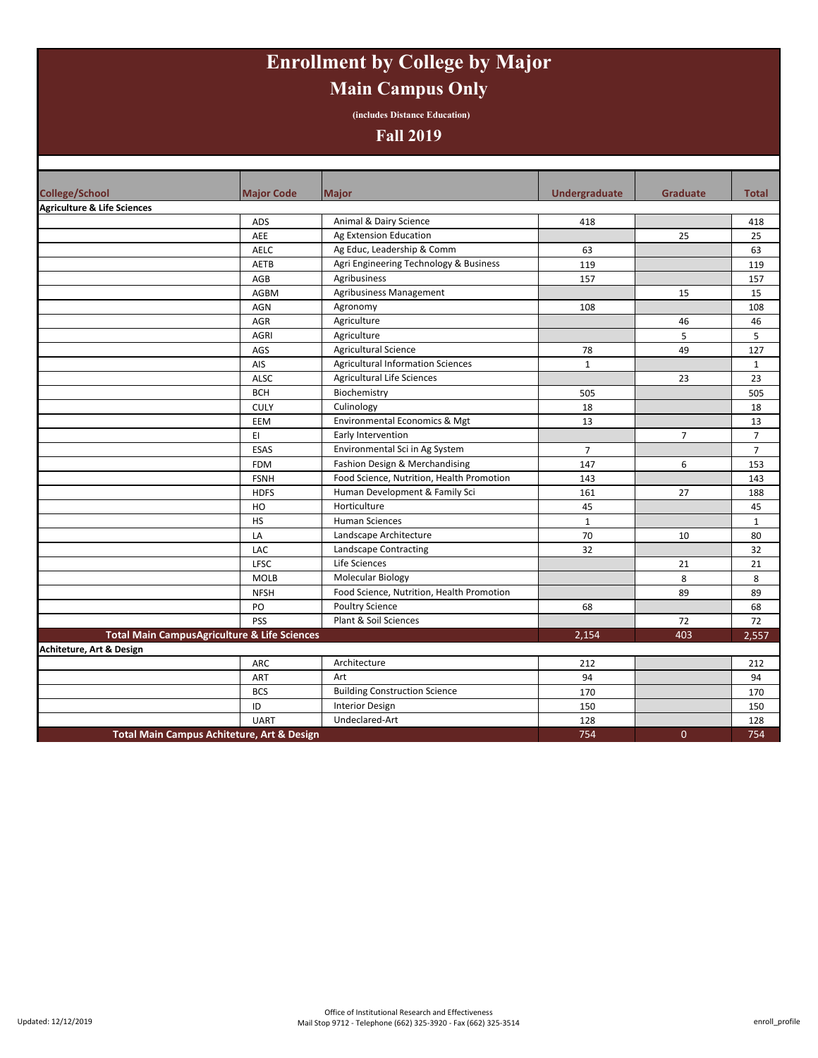# **Enrollment by College by Major Main Campus Only**

**(includes Distance Education)**

## **Fall 2019**

| <b>College/School</b>                                   | <b>Major Code</b> | <b>Major</b>                              | <b>Undergraduate</b> | <b>Graduate</b> | <b>Total</b>   |
|---------------------------------------------------------|-------------------|-------------------------------------------|----------------------|-----------------|----------------|
| <b>Agriculture &amp; Life Sciences</b>                  |                   |                                           |                      |                 |                |
|                                                         | ADS               | Animal & Dairy Science                    | 418                  |                 | 418            |
|                                                         | AEE               | Ag Extension Education                    |                      | 25              | 25             |
|                                                         | AELC              | Ag Educ, Leadership & Comm                | 63                   |                 | 63             |
|                                                         | AETB              | Agri Engineering Technology & Business    | 119                  |                 | 119            |
|                                                         | AGB               | Agribusiness                              | 157                  |                 | 157            |
|                                                         | AGBM              | Agribusiness Management                   |                      | 15              | 15             |
|                                                         | <b>AGN</b>        | Agronomy                                  | 108                  |                 | 108            |
|                                                         | AGR               | Agriculture                               |                      | 46              | 46             |
|                                                         | <b>AGRI</b>       | Agriculture                               |                      | 5               | 5              |
|                                                         | AGS               | <b>Agricultural Science</b>               | 78                   | 49              | 127            |
|                                                         | AIS               | <b>Agricultural Information Sciences</b>  | $\mathbf{1}$         |                 | $\mathbf{1}$   |
|                                                         | <b>ALSC</b>       | <b>Agricultural Life Sciences</b>         |                      | 23              | 23             |
|                                                         | <b>BCH</b>        | Biochemistry                              | 505                  |                 | 505            |
|                                                         | <b>CULY</b>       | Culinology                                | 18                   |                 | 18             |
|                                                         | EEM               | Environmental Economics & Mgt             | 13                   |                 | 13             |
|                                                         | EI.               | Early Intervention                        |                      | $\overline{7}$  | $\overline{7}$ |
|                                                         | <b>ESAS</b>       | Environmental Sci in Ag System            | $\overline{7}$       |                 | $\overline{7}$ |
|                                                         | <b>FDM</b>        | Fashion Design & Merchandising            | 147                  | 6               | 153            |
|                                                         | <b>FSNH</b>       | Food Science, Nutrition, Health Promotion | 143                  |                 | 143            |
|                                                         | <b>HDFS</b>       | Human Development & Family Sci            | 161                  | 27              | 188            |
|                                                         | HO                | Horticulture                              | 45                   |                 | 45             |
|                                                         | <b>HS</b>         | <b>Human Sciences</b>                     | $\mathbf{1}$         |                 | $\mathbf{1}$   |
|                                                         | LA                | Landscape Architecture                    | 70                   | 10              | 80             |
|                                                         | LAC               | Landscape Contracting                     | 32                   |                 | 32             |
|                                                         | LFSC              | Life Sciences                             |                      | 21              | 21             |
|                                                         | <b>MOLB</b>       | Molecular Biology                         |                      | 8               | 8              |
|                                                         | <b>NFSH</b>       | Food Science, Nutrition, Health Promotion |                      | 89              | 89             |
|                                                         | PO                | <b>Poultry Science</b>                    | 68                   |                 | 68             |
|                                                         | PSS               | Plant & Soil Sciences                     |                      | 72              | 72             |
| <b>Total Main CampusAgriculture &amp; Life Sciences</b> |                   |                                           | 2,154                | 403             | 2,557          |
| Achiteture, Art & Design                                |                   |                                           |                      |                 |                |
|                                                         | ARC               | Architecture                              | 212                  |                 | 212            |
|                                                         | ART               | Art                                       | 94                   |                 | 94             |
|                                                         | <b>BCS</b>        | <b>Building Construction Science</b>      | 170                  |                 | 170            |
|                                                         | ID                | <b>Interior Design</b>                    | 150                  |                 | 150            |
|                                                         | <b>UART</b>       | Undeclared-Art                            | 128                  |                 | 128            |
| <b>Total Main Campus Achiteture, Art &amp; Design</b>   |                   |                                           | 754                  | $\mathbf{0}$    | 754            |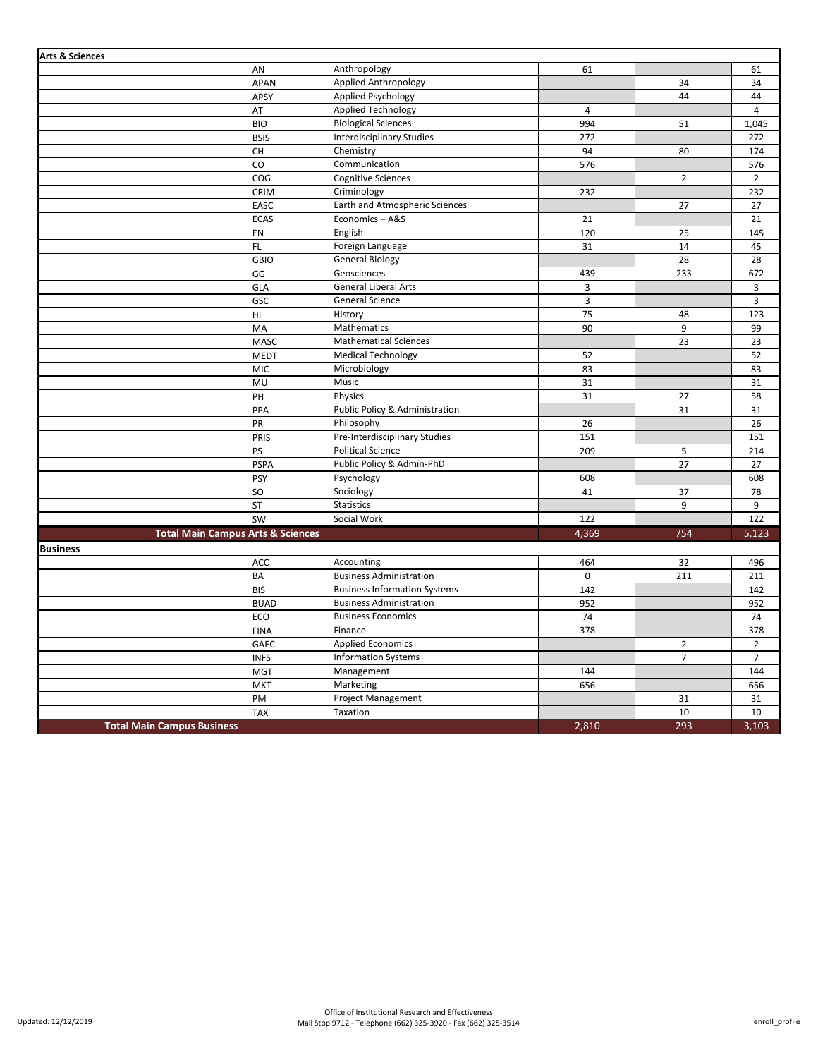| <b>Arts &amp; Sciences</b>                   |                                          |                                     |                |                |                |
|----------------------------------------------|------------------------------------------|-------------------------------------|----------------|----------------|----------------|
|                                              | AN                                       | Anthropology                        | 61             |                | 61             |
|                                              | <b>APAN</b>                              | Applied Anthropology                |                | 34             | 34             |
|                                              | APSY                                     | Applied Psychology                  |                | 44             | 44             |
|                                              | AT                                       | Applied Technology                  | $\overline{4}$ |                | $\overline{4}$ |
|                                              | <b>BIO</b>                               | <b>Biological Sciences</b>          | 994            | 51             | 1,045          |
|                                              | <b>BSIS</b>                              | <b>Interdisciplinary Studies</b>    | 272            |                | 272            |
|                                              | $\mathsf{CH}% \left( \mathcal{M}\right)$ | Chemistry                           | 94             | 80             | 174            |
|                                              | CO                                       | Communication                       | 576            |                | 576            |
|                                              | COG                                      | <b>Cognitive Sciences</b>           |                | $\overline{2}$ | $\overline{2}$ |
|                                              | CRIM                                     | Criminology                         | 232            |                | 232            |
|                                              | EASC                                     | Earth and Atmospheric Sciences      |                | 27             | 27             |
|                                              | <b>ECAS</b>                              | Economics-A&S                       | 21             |                | 21             |
|                                              | EN                                       | English                             | 120            | 25             | 145            |
|                                              | FL                                       | Foreign Language                    | 31             | 14             | 45             |
|                                              | <b>GBIO</b>                              | <b>General Biology</b>              |                | 28             | 28             |
|                                              | GG                                       | Geosciences                         | 439            | 233            | 672            |
|                                              | GLA                                      | General Liberal Arts                | 3              |                | 3              |
|                                              | GSC                                      | General Science                     | $\overline{3}$ |                | 3              |
|                                              | HI                                       | History                             | 75             | 48             | 123            |
|                                              | MA                                       | Mathematics                         | 90             | 9              | 99             |
|                                              | MASC                                     | <b>Mathematical Sciences</b>        |                | 23             | 23             |
|                                              | <b>MEDT</b>                              | <b>Medical Technology</b>           | 52             |                | 52             |
|                                              | MIC                                      | Microbiology                        | 83             |                | 83             |
|                                              | MU                                       | Music                               | 31             |                | 31             |
|                                              | PH                                       | Physics                             | 31             | 27             | 58             |
|                                              | PPA                                      | Public Policy & Administration      |                | 31             | 31             |
|                                              | PR                                       | Philosophy                          | 26             |                | 26             |
|                                              | PRIS                                     | Pre-Interdisciplinary Studies       | 151            |                | 151            |
|                                              | PS                                       | <b>Political Science</b>            | 209            | 5              | 214            |
|                                              | <b>PSPA</b>                              | Public Policy & Admin-PhD           |                | 27             | 27             |
|                                              | PSY                                      | Psychology                          | 608            |                | 608            |
|                                              | SO                                       | Sociology                           | 41             | 37             | 78             |
|                                              | ST                                       | <b>Statistics</b>                   |                | 9              | 9              |
|                                              | SW                                       | Social Work                         | 122            |                | 122            |
| <b>Total Main Campus Arts &amp; Sciences</b> |                                          |                                     | 4,369          | 754            | 5,123          |
| <b>Business</b>                              |                                          |                                     |                |                |                |
|                                              | ACC                                      | Accounting                          | 464            | 32             | 496            |
|                                              | BA                                       | <b>Business Administration</b>      | $\mathbf 0$    | 211            | 211            |
|                                              | <b>BIS</b>                               | <b>Business Information Systems</b> | 142            |                | 142            |
|                                              | <b>BUAD</b>                              | <b>Business Administration</b>      | 952            |                | 952            |
|                                              | ECO                                      | <b>Business Economics</b>           | 74             |                | 74             |
|                                              | <b>FINA</b>                              | Finance                             | 378            |                | 378            |
|                                              | GAEC                                     | <b>Applied Economics</b>            |                | $\overline{2}$ | $\overline{2}$ |
|                                              | <b>INFS</b>                              | <b>Information Systems</b>          |                | $\overline{7}$ | $\overline{7}$ |
|                                              | <b>MGT</b>                               | Management                          | 144            |                | 144            |
|                                              | <b>MKT</b>                               | Marketing                           | 656            |                | 656            |
|                                              | PM                                       | <b>Project Management</b>           |                | 31             | 31             |
|                                              | <b>TAX</b>                               | Taxation                            |                | 10             | 10             |
| <b>Total Main Campus Business</b>            |                                          |                                     | 2,810          | 293            | 3,103          |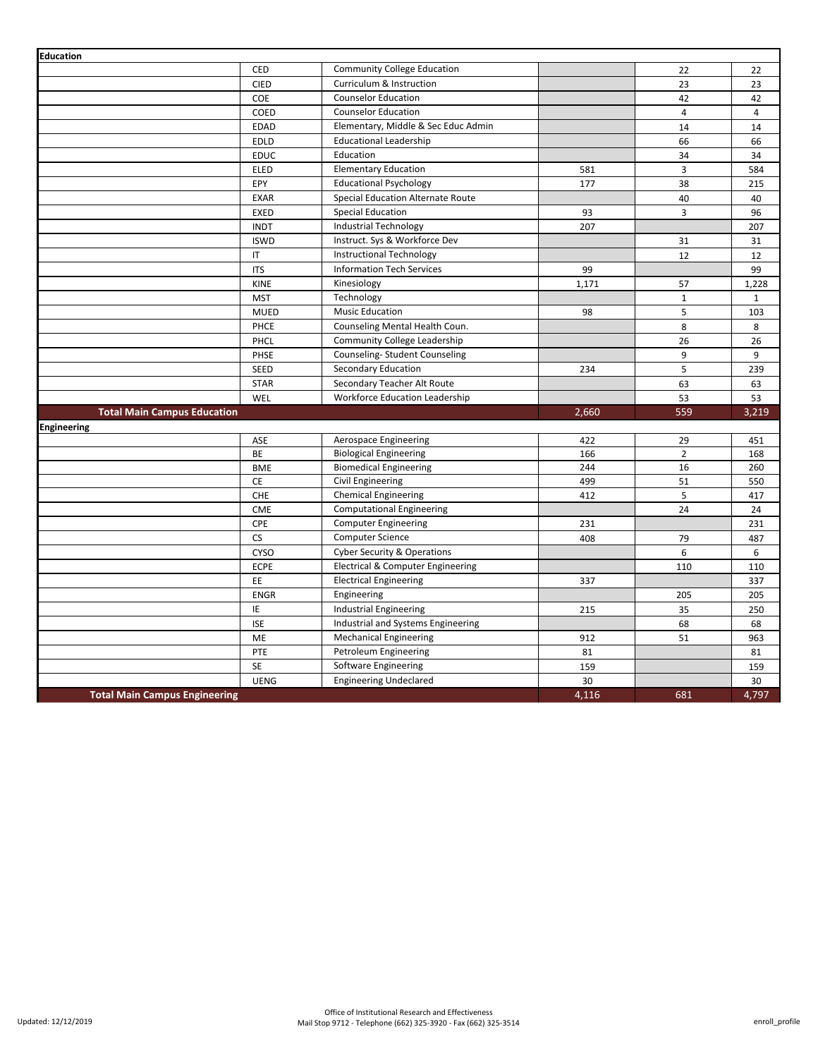| <b>Education</b>                     |             |                                        |             |                         |                |
|--------------------------------------|-------------|----------------------------------------|-------------|-------------------------|----------------|
|                                      | <b>CED</b>  | <b>Community College Education</b>     |             | 22                      | 22             |
|                                      | <b>CIED</b> | Curriculum & Instruction               |             | 23                      | 23             |
|                                      | COE         | <b>Counselor Education</b>             |             | 42                      | 42             |
|                                      | COED        | <b>Counselor Education</b>             |             | $\overline{\mathbf{4}}$ | $\overline{4}$ |
|                                      | <b>EDAD</b> | Elementary, Middle & Sec Educ Admin    |             | 14                      | 14             |
|                                      | <b>EDLD</b> | <b>Educational Leadership</b>          |             | 66                      | 66             |
|                                      | <b>EDUC</b> | Education                              |             | 34                      | 34             |
|                                      | ELED        | <b>Elementary Education</b>            | 581         | 3                       | 584            |
|                                      | EPY         | <b>Educational Psychology</b>          | 177         | 38                      | 215            |
|                                      | <b>EXAR</b> | Special Education Alternate Route      |             | 40                      | 40             |
|                                      | <b>EXED</b> | <b>Special Education</b>               | 93          | $\overline{3}$          | 96             |
|                                      | <b>INDT</b> | Industrial Technology                  | 207         |                         | 207            |
|                                      | <b>ISWD</b> | Instruct. Sys & Workforce Dev          |             | 31                      | 31             |
|                                      | IT.         | Instructional Technology               |             | 12                      | 12             |
|                                      | <b>ITS</b>  | <b>Information Tech Services</b>       | 99          |                         | 99             |
|                                      | KINE        | Kinesiology                            | 1,171       | 57                      | 1,228          |
|                                      | <b>MST</b>  | Technology                             |             | $\mathbf{1}$            | $\mathbf{1}$   |
|                                      | <b>MUED</b> | <b>Music Education</b>                 | 98          | 5                       | 103            |
|                                      | PHCE        | Counseling Mental Health Coun.         |             | 8                       | 8              |
|                                      | PHCL        | <b>Community College Leadership</b>    |             | 26                      | 26             |
|                                      | PHSE        | Counseling-Student Counseling          |             | 9                       | 9              |
|                                      | <b>SEED</b> | Secondary Education                    | 234         | 5                       | 239            |
|                                      |             |                                        |             |                         |                |
|                                      | <b>STAR</b> | Secondary Teacher Alt Route            |             | 63                      | 63             |
|                                      | WEL         | <b>Workforce Education Leadership</b>  |             | 53                      | 53             |
| <b>Total Main Campus Education</b>   |             |                                        | 2,660       | 559                     | 3,219          |
| <b>Engineering</b>                   |             |                                        |             |                         |                |
|                                      | ASE         | Aerospace Engineering                  | 422         | 29                      | 451            |
|                                      | BE          | <b>Biological Engineering</b>          | 166         | $\overline{2}$          | 168            |
|                                      | <b>BME</b>  | <b>Biomedical Engineering</b>          | 244         | 16                      | 260            |
|                                      | CE          | Civil Engineering                      | 499         | 51                      | 550            |
|                                      | CHE         | <b>Chemical Engineering</b>            | 412         | 5                       | 417            |
|                                      | <b>CME</b>  | <b>Computational Engineering</b>       |             | 24                      | 24             |
|                                      | CPE         | <b>Computer Engineering</b>            | 231         |                         | 231            |
|                                      | <b>CS</b>   | <b>Computer Science</b>                | 408         | 79                      | 487            |
|                                      | <b>CYSO</b> | <b>Cyber Security &amp; Operations</b> |             | 6                       | 6              |
|                                      | <b>ECPE</b> | Electrical & Computer Engineering      |             | 110                     | 110            |
|                                      | EE          | <b>Electrical Engineering</b>          | 337         |                         | 337            |
|                                      | <b>ENGR</b> | Engineering                            |             | 205                     | 205            |
|                                      | IE          | Industrial Engineering                 | 215         | 35                      | 250            |
|                                      | <b>ISE</b>  | Industrial and Systems Engineering     |             | 68                      | 68             |
|                                      | <b>ME</b>   | <b>Mechanical Engineering</b>          | 912         | 51                      | 963            |
|                                      | PTE         | Petroleum Engineering                  | 81          |                         | 81             |
|                                      | <b>SE</b>   | Software Engineering                   | 159         |                         | 159            |
| <b>Total Main Campus Engineering</b> | <b>UENG</b> | <b>Engineering Undeclared</b>          | 30<br>4,116 | 681                     | 30<br>4,797    |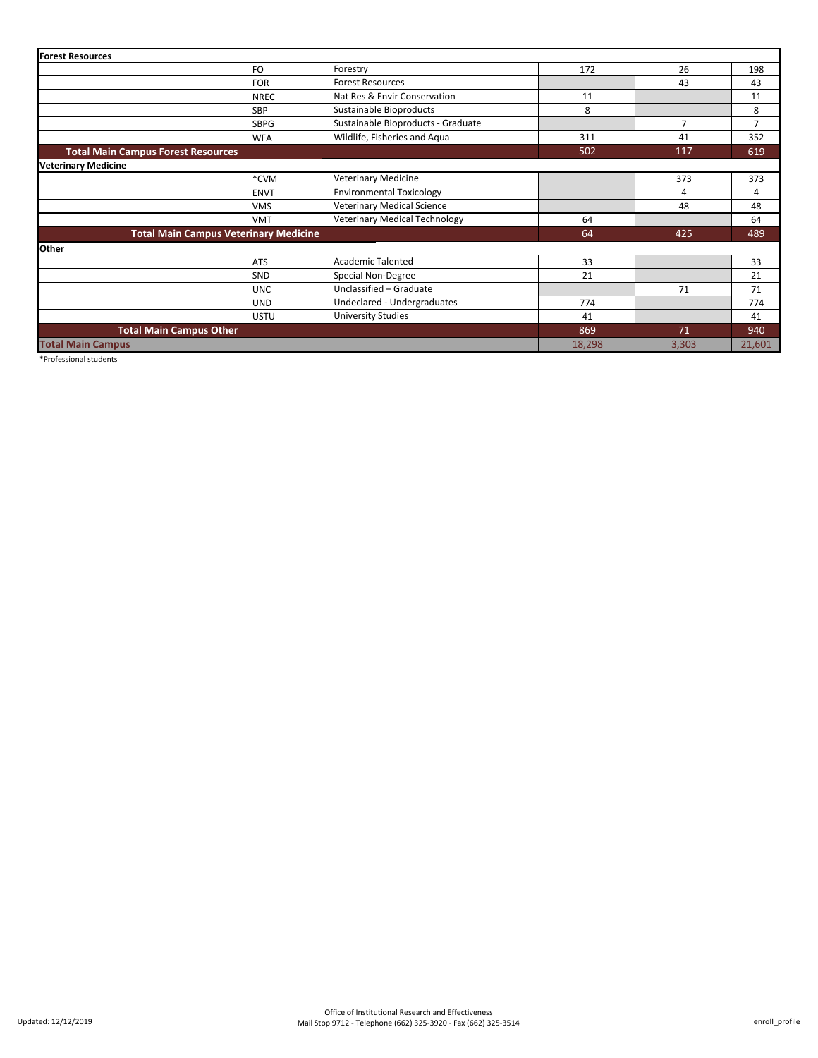| <b>Forest Resources</b>                      |             |                                      |            |                |        |
|----------------------------------------------|-------------|--------------------------------------|------------|----------------|--------|
|                                              | FO          | Forestry                             | 172        | 26             | 198    |
|                                              | <b>FOR</b>  | <b>Forest Resources</b>              |            | 43             | 43     |
|                                              | <b>NREC</b> | Nat Res & Envir Conservation         | 11         |                | 11     |
|                                              | <b>SBP</b>  | Sustainable Bioproducts              | 8          |                | 8      |
|                                              | <b>SBPG</b> | Sustainable Bioproducts - Graduate   |            | $\overline{7}$ | 7      |
|                                              | <b>WFA</b>  | Wildlife, Fisheries and Aqua<br>311  |            | 41             | 352    |
| <b>Total Main Campus Forest Resources</b>    |             |                                      | 502<br>117 |                | 619    |
| <b>Veterinary Medicine</b>                   |             |                                      |            |                |        |
|                                              | *CVM        | <b>Veterinary Medicine</b>           |            | 373            | 373    |
|                                              | <b>ENVT</b> | <b>Environmental Toxicology</b>      |            | 4              | 4      |
|                                              | <b>VMS</b>  | Veterinary Medical Science           |            | 48             | 48     |
|                                              | <b>VMT</b>  | <b>Veterinary Medical Technology</b> | 64         |                | 64     |
| <b>Total Main Campus Veterinary Medicine</b> |             |                                      | 64         | 425            | 489    |
| Other                                        |             |                                      |            |                |        |
|                                              | <b>ATS</b>  | <b>Academic Talented</b>             | 33         |                | 33     |
|                                              | <b>SND</b>  | Special Non-Degree                   | 21         |                | 21     |
|                                              | <b>UNC</b>  | Unclassified - Graduate              |            | 71             | 71     |
|                                              | <b>UND</b>  | Undeclared - Undergraduates          | 774        |                | 774    |
|                                              | <b>USTU</b> | <b>University Studies</b>            | 41         |                | 41     |
| <b>Total Main Campus Other</b>               |             |                                      | 869        | 71             | 940    |
| <b>Total Main Campus</b>                     |             |                                      | 18,298     | 3,303          | 21,601 |

\*Professional students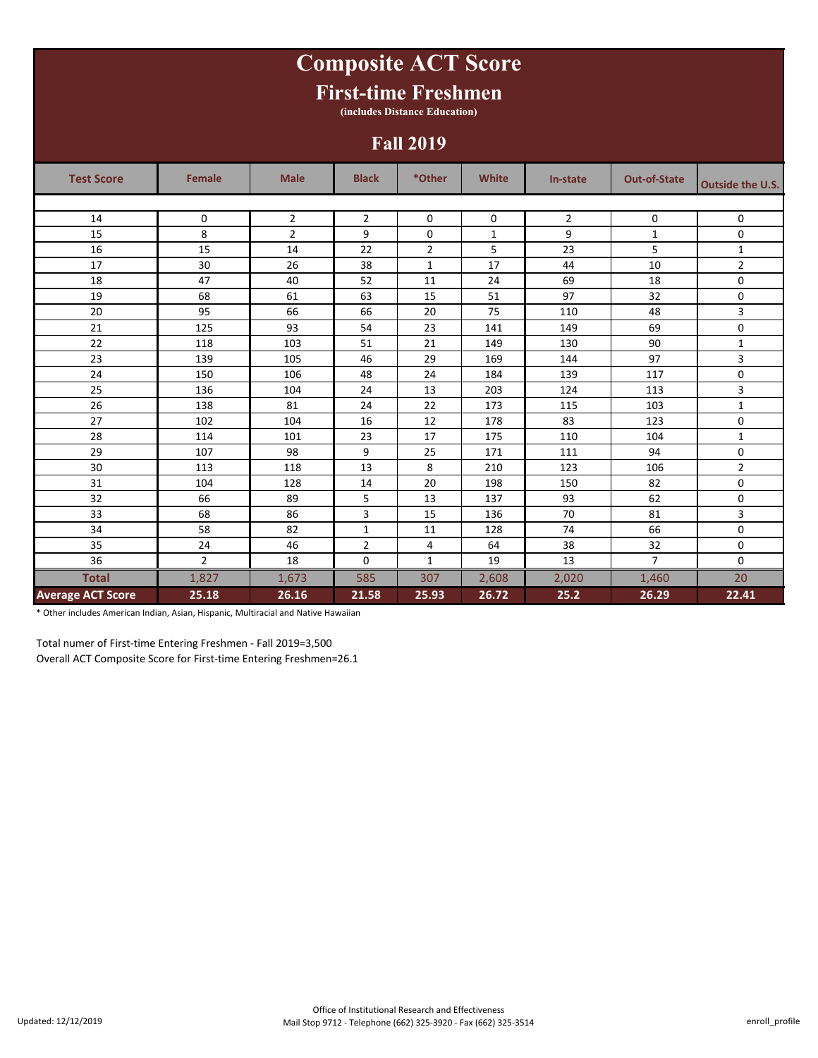## **Test Score Female Male Black \*Other White In-state Out-of-State Outside the U.S.** 14 0 2 2 0 0 2 0 0 2 15 8 2 9 0 1 9 1 1 0 16 15 14 22 2 5 23 5 1 17 | 30 | 26 | 38 | 1 | 17 | 44 | 10 | 2 18 | 47 | 40 | 52 | 11 | 24 | 69 | 18 | 0 19 68 61 63 15 51 97 32 0 20 95 66 66 20 75 110 48 3 21 125 93 54 23 141 149 69 0 22 118 103 51 21 149 130 90 1 23 139 105 46 29 169 144 97 3 24 150 106 48 24 184 139 117 0 25 | 136 | 104 | 24 | 13 | 203 | 124 | 113 | 3 26 | 138 | 81 | 24 | 22 | 173 | 115 | 103 | 1 27 102 104 16 12 178 83 123 0 28 114 101 23 17 175 110 104 1 29 107 98 9 25 171 111 94 0 30 113 118 13 | 8 | 210 | 123 | 106 | 2 31 104 128 14 20 198 150 82 0 32 66 89 5 13 137 93 62 0 33 68 86 3 15 136 70 81 3 34 58 82 1 11 128 74 66 0 35 24 46 2 4 64 38 32 0 36 | 2 | 18 | 0 | 1 | 19 | 13 | 7 | 0 **Total** 1,827 1,673 585 307 2,608 2,020 1,460 20 **Average ACT Score 25.18 26.16 21.58 25.93 26.72 25.2 26.29 22.41 Composite ACT Score First-time Freshmen (includes Distance Education) Fall 2019**

\* Other includes American Indian, Asian, Hispanic, Multiracial and Native Hawaiian

Total numer of First-time Entering Freshmen - Fall 2019=3,500

Overall ACT Composite Score for First-time Entering Freshmen=26.1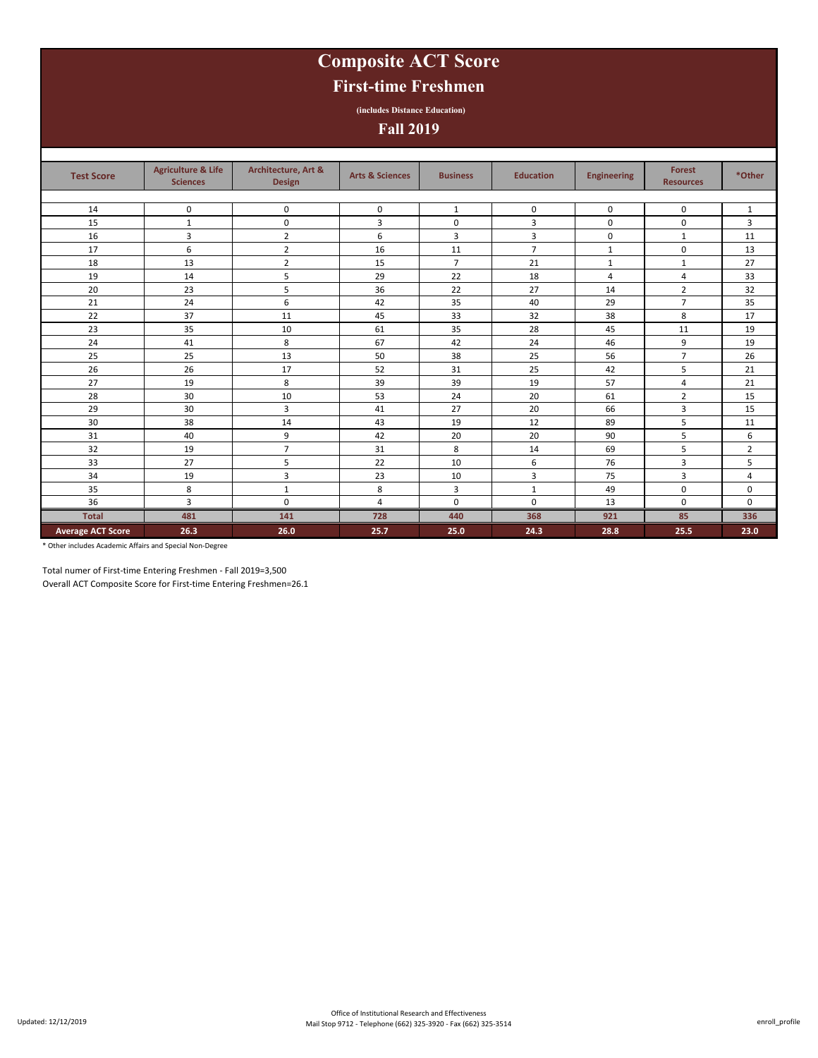# **Composite ACT Score**

## **First-time Freshmen**

**(includes Distance Education)**

**Fall 2019**

| <b>Test Score</b>        | <b>Agriculture &amp; Life</b><br><b>Sciences</b> | Architecture, Art &<br><b>Design</b> | <b>Arts &amp; Sciences</b> | <b>Business</b> | <b>Education</b> | <b>Engineering</b> | <b>Forest</b><br><b>Resources</b> | *Other         |
|--------------------------|--------------------------------------------------|--------------------------------------|----------------------------|-----------------|------------------|--------------------|-----------------------------------|----------------|
|                          |                                                  |                                      |                            |                 |                  |                    |                                   |                |
| 14                       | $\mathbf 0$                                      | $\mathbf 0$                          | $\mathbf 0$                | 1               | $\mathbf 0$      | $\mathbf 0$        | $\mathbf 0$                       | $\mathbf{1}$   |
| 15                       | 1                                                | $\pmb{0}$                            | 3                          | 0               | 3                | 0                  | $\mathbf 0$                       | 3              |
| 16                       | 3                                                | $\overline{2}$                       | 6                          | 3               | 3                | $\mathbf 0$        | $\mathbf{1}$                      | 11             |
| 17                       | 6                                                | $\overline{2}$                       | 16                         | 11              | $\overline{7}$   | 1                  | $\mathbf 0$                       | 13             |
| 18                       | 13                                               | $\overline{2}$                       | 15                         | $\overline{7}$  | 21               | 1                  | 1                                 | 27             |
| 19                       | 14                                               | 5                                    | 29                         | 22              | 18               | 4                  | 4                                 | 33             |
| 20                       | 23                                               | 5                                    | 36                         | 22              | 27               | 14                 | $\overline{2}$                    | 32             |
| 21                       | 24                                               | 6                                    | 42                         | 35              | 40               | 29                 | $\overline{7}$                    | 35             |
| 22                       | 37                                               | 11                                   | 45                         | 33              | 32               | 38                 | 8                                 | 17             |
| 23                       | 35                                               | 10                                   | 61                         | 35              | 28               | 45                 | 11                                | 19             |
| 24                       | 41                                               | 8                                    | 67                         | 42              | 24               | 46                 | 9                                 | 19             |
| 25                       | 25                                               | 13                                   | 50                         | 38              | 25               | 56                 | $\overline{7}$                    | 26             |
| 26                       | 26                                               | 17                                   | 52                         | 31              | 25               | 42                 | 5                                 | 21             |
| 27                       | 19                                               | 8                                    | 39                         | 39              | 19               | 57                 | 4                                 | 21             |
| 28                       | 30                                               | 10                                   | 53                         | 24              | 20               | 61                 | $\overline{2}$                    | 15             |
| 29                       | 30                                               | 3                                    | 41                         | 27              | 20               | 66                 | 3                                 | 15             |
| 30                       | 38                                               | 14                                   | 43                         | 19              | 12               | 89                 | 5                                 | 11             |
| 31                       | 40                                               | 9                                    | 42                         | 20              | 20               | 90                 | 5                                 | 6              |
| 32                       | 19                                               | $\overline{7}$                       | 31                         | 8               | 14               | 69                 | 5                                 | $\overline{2}$ |
| 33                       | 27                                               | 5                                    | 22                         | 10              | 6                | 76                 | 3                                 | 5              |
| 34                       | 19                                               | 3                                    | 23                         | 10              | 3                | 75                 | 3                                 | 4              |
| 35                       | 8                                                | 1                                    | 8                          | 3               | $\mathbf{1}$     | 49                 | $\mathbf 0$                       | $\mathbf 0$    |
| 36                       | 3                                                | $\mathbf 0$                          | $\overline{4}$             | $\mathbf 0$     | $\mathbf 0$      | 13                 | $\mathbf 0$                       | $\mathbf 0$    |
| <b>Total</b>             | 481                                              | 141                                  | 728                        | 440             | 368              | 921                | 85                                | 336            |
| <b>Average ACT Score</b> | 26.3                                             | 26.0                                 | 25.7                       | 25.0            | 24.3             | 28.8               | 25.5                              | 23.0           |

\* Other includes Academic Affairs and Special Non-Degree

Total numer of First-time Entering Freshmen - Fall 2019=3,500

Overall ACT Composite Score for First-time Entering Freshmen=26.1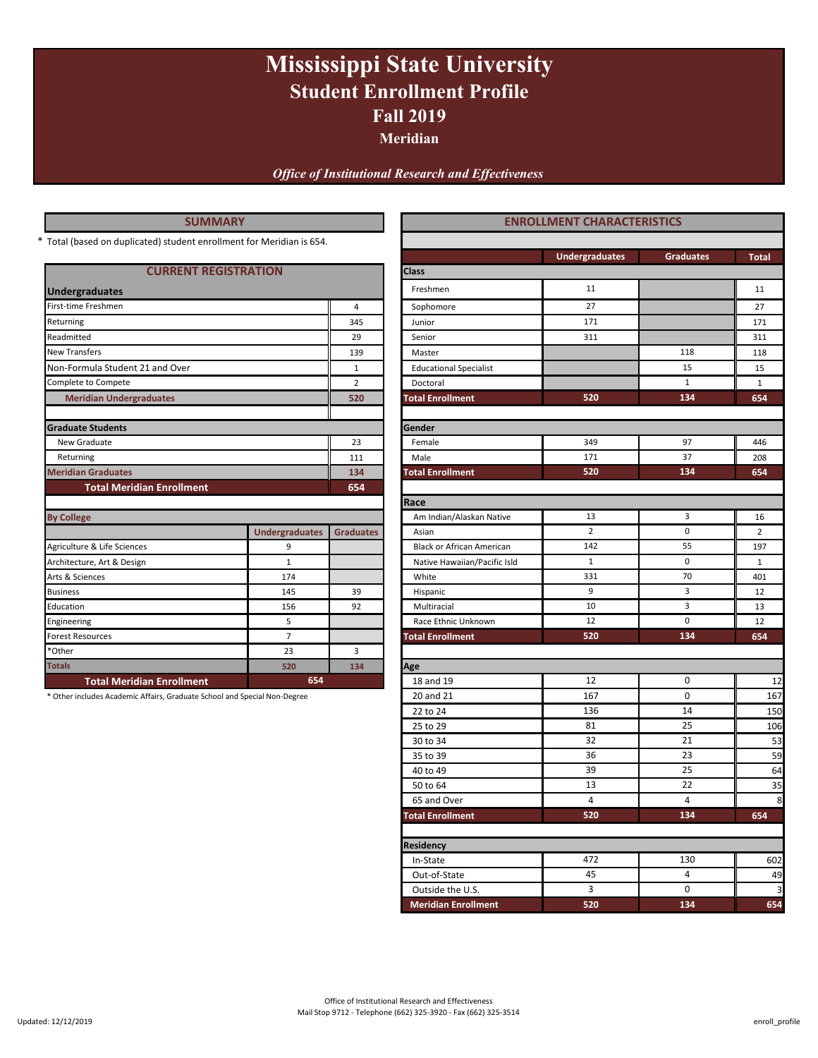# **Fall 2019 Mississippi State University Student Enrollment Profile**

**Meridian**

*Office of Institutional Research and Effectiveness*

| <b>SUMMARY</b>                                                            |                       |                  | <b>ENROLLMENT CHARACTERISTICS</b> |                       |                  |                |
|---------------------------------------------------------------------------|-----------------------|------------------|-----------------------------------|-----------------------|------------------|----------------|
| Total (based on duplicated) student enrollment for Meridian is 654.       |                       |                  |                                   |                       |                  |                |
|                                                                           |                       |                  |                                   | <b>Undergraduates</b> | <b>Graduates</b> | <b>Total</b>   |
| <b>CURRENT REGISTRATION</b>                                               |                       |                  | Class                             |                       |                  |                |
| <b>Undergraduates</b>                                                     |                       |                  | Freshmen                          | 11                    |                  | 11             |
| First-time Freshmen                                                       |                       | $\overline{4}$   | Sophomore                         | 27                    |                  | 27             |
| Returning                                                                 |                       | 345              | Junior                            | 171                   |                  | 171            |
| Readmitted                                                                |                       | 29               | Senior                            | 311                   |                  | 311            |
| <b>New Transfers</b>                                                      |                       | 139              | Master                            |                       | 118              | 118            |
| Non-Formula Student 21 and Over                                           |                       | $\mathbf{1}$     | <b>Educational Specialist</b>     |                       | 15               | 15             |
| Complete to Compete                                                       |                       | $\overline{2}$   | Doctoral                          |                       | $\mathbf{1}$     | $\mathbf{1}$   |
| <b>Meridian Undergraduates</b>                                            |                       | 520              | <b>Total Enrollment</b>           | 520                   | 134              | 654            |
|                                                                           |                       |                  |                                   |                       |                  |                |
| <b>Graduate Students</b>                                                  |                       |                  | Gender                            |                       |                  |                |
| New Graduate                                                              |                       | 23               | Female                            | 349                   | 97               | 446            |
| Returning                                                                 |                       | 111              | Male                              | 171                   | 37               | 208            |
| <b>Meridian Graduates</b>                                                 |                       | 134              | <b>Total Enrollment</b>           | 520                   | 134              | 654            |
| <b>Total Meridian Enrollment</b>                                          |                       | 654              |                                   |                       |                  |                |
|                                                                           |                       |                  | Race                              |                       |                  |                |
| <b>By College</b>                                                         |                       |                  | Am Indian/Alaskan Native          | 13                    | 3                | 16             |
|                                                                           | <b>Undergraduates</b> | <b>Graduates</b> | Asian                             | $\overline{2}$        | $\mathbf 0$      | $\overline{2}$ |
| Agriculture & Life Sciences                                               | 9                     |                  | <b>Black or African American</b>  | 142                   | 55               | 197            |
| Architecture, Art & Design                                                | $\mathbf{1}$          |                  | Native Hawaiian/Pacific Isld      | $\mathbf{1}$          | 0                | $\mathbf{1}$   |
| Arts & Sciences                                                           | 174                   |                  | White                             | 331                   | 70               | 401            |
| <b>Business</b>                                                           | 145                   | 39               | Hispanic                          | 9                     | 3                | 12             |
| Education                                                                 | 156                   | 92               | Multiracial                       | 10                    | 3                | 13             |
| Engineering                                                               | 5                     |                  | Race Ethnic Unknown               | 12                    | 0                | 12             |
| <b>Forest Resources</b>                                                   | $\overline{7}$        |                  | <b>Total Enrollment</b>           | 520                   | 134              | 654            |
| *Other                                                                    | 23                    | 3                |                                   |                       |                  |                |
| <b>Totals</b>                                                             | 520                   | 134              | Age                               |                       |                  |                |
| <b>Total Meridian Enrollment</b>                                          | 654                   |                  | 18 and 19                         | 12                    | 0                | 12             |
| * Other includes Academic Affairs, Graduate School and Special Non-Degree |                       |                  | 20 and 21                         | 167                   | $\pmb{0}$        | 167            |
|                                                                           |                       |                  | 22 to 24                          | 136                   | 14               | 150            |
|                                                                           |                       |                  | 25 to 29                          | 81                    | 25               | 106            |
|                                                                           |                       |                  | 30 to 34                          | 32                    | 21               | 53             |
|                                                                           |                       |                  | 35 to 39                          | 36                    | 23               | 59             |
|                                                                           |                       |                  | 40 to 49                          | 39                    | 25               | 64             |

Updated: 12/12/2019

\*

**Residency**

Outside the U.S.

50 to 64 35 65 and Over 8 **Total Enrollment 654**

**520** 4 13

 $\ln$ -State  $\ln 602$   $\ln 30$   $\ln 602$ Out-of-State 49

 **Meridian Enrollment 654**

**134** 4 22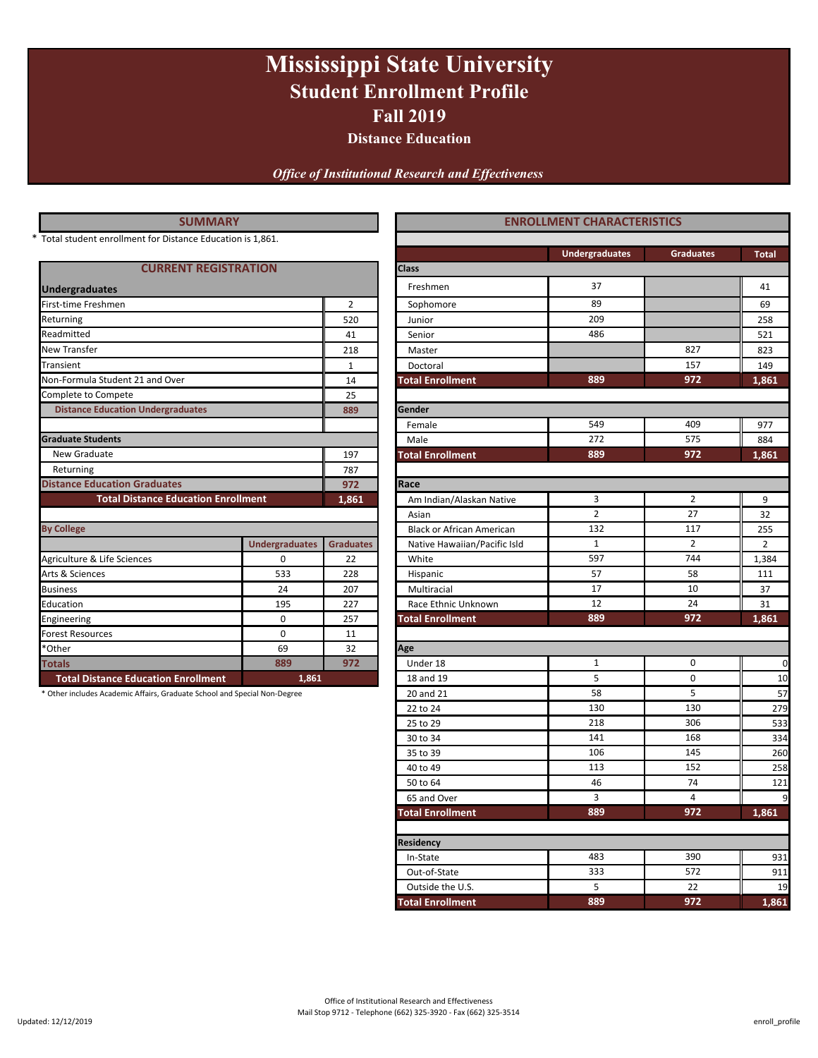# **Mississippi State University Student Enrollment Profile Fall 2019**

**Distance Education**

*Office of Institutional Research and Effectiveness*

|  |     |             | <b>SUIVIIVIART</b> |     |  |
|--|-----|-------------|--------------------|-----|--|
|  |     | $- \cdot$ . | $-1$               |     |  |
|  | . . |             |                    | . . |  |

### **CURRENT REGISTRATION Class**

| <b>Undergraduates</b>                      |                       |                  | Freshmen                         | 37             |                |
|--------------------------------------------|-----------------------|------------------|----------------------------------|----------------|----------------|
| First-time Freshmen                        |                       | $\overline{2}$   | Sophomore                        | 89             |                |
| Returning                                  |                       | 520              | Junior                           | 209            |                |
| Readmitted                                 |                       | 41               | Senior                           | 486            |                |
| <b>New Transfer</b>                        |                       | 218              | Master                           |                | 827            |
| Transient                                  |                       | $\mathbf{1}$     | Doctoral                         |                | 157            |
| Non-Formula Student 21 and Over            |                       | 14               | <b>Total Enrollment</b>          | 889            | 972            |
| Complete to Compete                        |                       | 25               |                                  |                |                |
| <b>Distance Education Undergraduates</b>   |                       | 889              | Gender                           |                |                |
|                                            |                       |                  | Female                           | 549            | 409            |
| <b>Graduate Students</b>                   |                       | Male             | 272                              | 575            |                |
| New Graduate                               |                       | 197              | <b>Total Enrollment</b>          | 889            | 972            |
| Returning                                  | 787                   |                  |                                  |                |                |
| <b>Distance Education Graduates</b>        |                       | 972              |                                  |                |                |
| <b>Total Distance Education Enrollment</b> |                       | 1,861            | Am Indian/Alaskan Native         | 3              | $\overline{2}$ |
|                                            |                       |                  | Asian                            | $\overline{2}$ | 27             |
| <b>By College</b>                          |                       |                  | <b>Black or African American</b> | 132            | 117            |
|                                            | <b>Undergraduates</b> | <b>Graduates</b> | Native Hawaiian/Pacific Isld     | $\mathbf{1}$   | $\overline{2}$ |
| Agriculture & Life Sciences                | $\Omega$              | 22               | White                            | 597            | 744            |
| Arts & Sciences                            | 533                   | 228              | Hispanic                         | 57             | 58             |
| <b>Business</b>                            | 24                    | 207              | Multiracial                      | 17             | 10             |
| Education                                  | 195                   | 227              | Race Ethnic Unknown              | 12             | 24             |
| Engineering                                | $\Omega$              | 257              | <b>Total Enrollment</b>          | 889            | 972            |
| <b>Forest Resources</b>                    | 0                     | 11               |                                  |                |                |
| *Other                                     | 69                    | 32               | Age                              |                |                |
| <b>Totals</b>                              | 889                   | 972              | Under 18                         | 1              | 0              |
| <b>Total Distance Education Enrollment</b> | 1,861                 |                  | 18 and 19                        | 5              | $\mathbf 0$    |

| <b>SUMMARY</b>                                                            |                       |                  |                                                                                                                                                                                                                                                                                                                                                                                                                                                                                                                                                                                                                                                                                                                                                                                                                                                                                                                                                                                                                                                                                                                                               |                       |                  |                |  |
|---------------------------------------------------------------------------|-----------------------|------------------|-----------------------------------------------------------------------------------------------------------------------------------------------------------------------------------------------------------------------------------------------------------------------------------------------------------------------------------------------------------------------------------------------------------------------------------------------------------------------------------------------------------------------------------------------------------------------------------------------------------------------------------------------------------------------------------------------------------------------------------------------------------------------------------------------------------------------------------------------------------------------------------------------------------------------------------------------------------------------------------------------------------------------------------------------------------------------------------------------------------------------------------------------|-----------------------|------------------|----------------|--|
| Total student enrollment for Distance Education is 1,861.                 |                       |                  |                                                                                                                                                                                                                                                                                                                                                                                                                                                                                                                                                                                                                                                                                                                                                                                                                                                                                                                                                                                                                                                                                                                                               |                       |                  |                |  |
|                                                                           |                       |                  |                                                                                                                                                                                                                                                                                                                                                                                                                                                                                                                                                                                                                                                                                                                                                                                                                                                                                                                                                                                                                                                                                                                                               | <b>Undergraduates</b> | <b>Graduates</b> | <b>Total</b>   |  |
| <b>CURRENT REGISTRATION</b>                                               |                       |                  | <b>Class</b>                                                                                                                                                                                                                                                                                                                                                                                                                                                                                                                                                                                                                                                                                                                                                                                                                                                                                                                                                                                                                                                                                                                                  |                       |                  |                |  |
| <b>Undergraduates</b>                                                     |                       |                  | Freshmen                                                                                                                                                                                                                                                                                                                                                                                                                                                                                                                                                                                                                                                                                                                                                                                                                                                                                                                                                                                                                                                                                                                                      | 37                    |                  | 41             |  |
| First-time Freshmen                                                       |                       |                  | <b>ENROLLMENT CHARACTERISTICS</b><br>89<br>$\overline{2}$<br>Sophomore<br>209<br>520<br>Junior<br>486<br>41<br>Senior<br>827<br>218<br>Master<br>$\mathbf{1}$<br>157<br>Doctoral<br>889<br>972<br>14<br><b>Total Enrollment</b><br>25<br>Gender<br>889<br>549<br>409<br>Female<br>272<br>575<br>Male<br>889<br><b>Total Enrollment</b><br>972<br>197<br>787<br>Race<br>972<br>1,861<br>3<br>$\overline{2}$<br>Am Indian/Alaskan Native<br>$\overline{2}$<br>27<br>Asian<br>132<br>117<br>Black or African American<br>$\overline{2}$<br>1<br>Native Hawaiian/Pacific Isld<br>597<br>744<br>22<br>White<br>58<br>228<br>57<br>Hispanic<br>17<br>10<br>207<br>Multiracial<br>12<br>24<br>227<br>Race Ethnic Unknown<br>889<br>257<br>972<br><b>Total Enrollment</b><br>11<br>32<br>Age<br>972<br>0<br>1<br>Under 18<br>5<br>$\mathbf 0$<br>18 and 19<br>5<br>58<br>20 and 21<br>130<br>130<br>22 to 24<br>218<br>306<br>25 to 29<br>141<br>168<br>30 to 34<br>106<br>145<br>35 to 39<br>40 to 49<br>113<br>152<br>46<br>74<br>50 to 64<br>3<br>4<br>65 and Over<br>889<br>972<br><b>Total Enrollment</b><br>Residency<br>483<br>390<br>In-State | 69                    |                  |                |  |
| Returning                                                                 |                       |                  |                                                                                                                                                                                                                                                                                                                                                                                                                                                                                                                                                                                                                                                                                                                                                                                                                                                                                                                                                                                                                                                                                                                                               |                       | 572              | 258            |  |
| Readmitted                                                                |                       |                  |                                                                                                                                                                                                                                                                                                                                                                                                                                                                                                                                                                                                                                                                                                                                                                                                                                                                                                                                                                                                                                                                                                                                               |                       |                  | 521            |  |
| New Transfer                                                              |                       |                  |                                                                                                                                                                                                                                                                                                                                                                                                                                                                                                                                                                                                                                                                                                                                                                                                                                                                                                                                                                                                                                                                                                                                               |                       |                  | 823            |  |
| Transient                                                                 |                       |                  |                                                                                                                                                                                                                                                                                                                                                                                                                                                                                                                                                                                                                                                                                                                                                                                                                                                                                                                                                                                                                                                                                                                                               |                       |                  | 149            |  |
| Non-Formula Student 21 and Over                                           |                       |                  |                                                                                                                                                                                                                                                                                                                                                                                                                                                                                                                                                                                                                                                                                                                                                                                                                                                                                                                                                                                                                                                                                                                                               |                       | 1,861            |                |  |
| Complete to Compete                                                       |                       |                  |                                                                                                                                                                                                                                                                                                                                                                                                                                                                                                                                                                                                                                                                                                                                                                                                                                                                                                                                                                                                                                                                                                                                               |                       |                  |                |  |
| <b>Distance Education Undergraduates</b>                                  |                       |                  |                                                                                                                                                                                                                                                                                                                                                                                                                                                                                                                                                                                                                                                                                                                                                                                                                                                                                                                                                                                                                                                                                                                                               |                       |                  |                |  |
|                                                                           |                       |                  |                                                                                                                                                                                                                                                                                                                                                                                                                                                                                                                                                                                                                                                                                                                                                                                                                                                                                                                                                                                                                                                                                                                                               |                       |                  | 977            |  |
| <b>Graduate Students</b>                                                  |                       |                  |                                                                                                                                                                                                                                                                                                                                                                                                                                                                                                                                                                                                                                                                                                                                                                                                                                                                                                                                                                                                                                                                                                                                               |                       |                  | 884            |  |
| New Graduate                                                              |                       |                  |                                                                                                                                                                                                                                                                                                                                                                                                                                                                                                                                                                                                                                                                                                                                                                                                                                                                                                                                                                                                                                                                                                                                               |                       | 1,861            |                |  |
| Returning                                                                 |                       |                  |                                                                                                                                                                                                                                                                                                                                                                                                                                                                                                                                                                                                                                                                                                                                                                                                                                                                                                                                                                                                                                                                                                                                               |                       |                  |                |  |
| <b>Distance Education Graduates</b>                                       |                       |                  |                                                                                                                                                                                                                                                                                                                                                                                                                                                                                                                                                                                                                                                                                                                                                                                                                                                                                                                                                                                                                                                                                                                                               |                       |                  |                |  |
| <b>Total Distance Education Enrollment</b>                                |                       |                  |                                                                                                                                                                                                                                                                                                                                                                                                                                                                                                                                                                                                                                                                                                                                                                                                                                                                                                                                                                                                                                                                                                                                               | 9                     |                  |                |  |
|                                                                           |                       |                  |                                                                                                                                                                                                                                                                                                                                                                                                                                                                                                                                                                                                                                                                                                                                                                                                                                                                                                                                                                                                                                                                                                                                               |                       |                  | 32             |  |
| <b>By College</b>                                                         |                       |                  |                                                                                                                                                                                                                                                                                                                                                                                                                                                                                                                                                                                                                                                                                                                                                                                                                                                                                                                                                                                                                                                                                                                                               |                       |                  | 255            |  |
|                                                                           | <b>Undergraduates</b> | <b>Graduates</b> |                                                                                                                                                                                                                                                                                                                                                                                                                                                                                                                                                                                                                                                                                                                                                                                                                                                                                                                                                                                                                                                                                                                                               |                       |                  | $\overline{2}$ |  |
| Agriculture & Life Sciences                                               | 0                     |                  |                                                                                                                                                                                                                                                                                                                                                                                                                                                                                                                                                                                                                                                                                                                                                                                                                                                                                                                                                                                                                                                                                                                                               |                       |                  | 1,384          |  |
| Arts & Sciences                                                           | 533                   |                  |                                                                                                                                                                                                                                                                                                                                                                                                                                                                                                                                                                                                                                                                                                                                                                                                                                                                                                                                                                                                                                                                                                                                               |                       |                  | 111            |  |
| <b>Business</b>                                                           | 24                    |                  |                                                                                                                                                                                                                                                                                                                                                                                                                                                                                                                                                                                                                                                                                                                                                                                                                                                                                                                                                                                                                                                                                                                                               |                       |                  | 37             |  |
| Education                                                                 | 195                   |                  |                                                                                                                                                                                                                                                                                                                                                                                                                                                                                                                                                                                                                                                                                                                                                                                                                                                                                                                                                                                                                                                                                                                                               |                       |                  | 31             |  |
| Engineering                                                               | $\mathbf 0$           |                  |                                                                                                                                                                                                                                                                                                                                                                                                                                                                                                                                                                                                                                                                                                                                                                                                                                                                                                                                                                                                                                                                                                                                               |                       |                  | 1,861          |  |
| <b>Forest Resources</b>                                                   | $\mathbf 0$           |                  |                                                                                                                                                                                                                                                                                                                                                                                                                                                                                                                                                                                                                                                                                                                                                                                                                                                                                                                                                                                                                                                                                                                                               |                       |                  |                |  |
| *Other                                                                    | 69                    |                  |                                                                                                                                                                                                                                                                                                                                                                                                                                                                                                                                                                                                                                                                                                                                                                                                                                                                                                                                                                                                                                                                                                                                               |                       |                  |                |  |
| <b>Totals</b>                                                             | 889                   |                  |                                                                                                                                                                                                                                                                                                                                                                                                                                                                                                                                                                                                                                                                                                                                                                                                                                                                                                                                                                                                                                                                                                                                               |                       |                  | $\mathbf 0$    |  |
| <b>Total Distance Education Enrollment</b>                                | 1,861                 |                  |                                                                                                                                                                                                                                                                                                                                                                                                                                                                                                                                                                                                                                                                                                                                                                                                                                                                                                                                                                                                                                                                                                                                               |                       |                  | 10             |  |
| * Other includes Academic Affairs, Graduate School and Special Non-Degree |                       |                  |                                                                                                                                                                                                                                                                                                                                                                                                                                                                                                                                                                                                                                                                                                                                                                                                                                                                                                                                                                                                                                                                                                                                               |                       |                  | 57             |  |
|                                                                           |                       |                  |                                                                                                                                                                                                                                                                                                                                                                                                                                                                                                                                                                                                                                                                                                                                                                                                                                                                                                                                                                                                                                                                                                                                               |                       |                  | 279            |  |
|                                                                           |                       |                  |                                                                                                                                                                                                                                                                                                                                                                                                                                                                                                                                                                                                                                                                                                                                                                                                                                                                                                                                                                                                                                                                                                                                               |                       |                  | 533            |  |
|                                                                           |                       |                  |                                                                                                                                                                                                                                                                                                                                                                                                                                                                                                                                                                                                                                                                                                                                                                                                                                                                                                                                                                                                                                                                                                                                               |                       |                  | 334            |  |
|                                                                           |                       |                  |                                                                                                                                                                                                                                                                                                                                                                                                                                                                                                                                                                                                                                                                                                                                                                                                                                                                                                                                                                                                                                                                                                                                               |                       |                  | 260            |  |
|                                                                           |                       |                  |                                                                                                                                                                                                                                                                                                                                                                                                                                                                                                                                                                                                                                                                                                                                                                                                                                                                                                                                                                                                                                                                                                                                               |                       |                  | 258            |  |
|                                                                           |                       |                  |                                                                                                                                                                                                                                                                                                                                                                                                                                                                                                                                                                                                                                                                                                                                                                                                                                                                                                                                                                                                                                                                                                                                               |                       |                  | 121            |  |
|                                                                           |                       |                  |                                                                                                                                                                                                                                                                                                                                                                                                                                                                                                                                                                                                                                                                                                                                                                                                                                                                                                                                                                                                                                                                                                                                               |                       |                  | 9              |  |
|                                                                           |                       |                  |                                                                                                                                                                                                                                                                                                                                                                                                                                                                                                                                                                                                                                                                                                                                                                                                                                                                                                                                                                                                                                                                                                                                               |                       |                  | 1,861          |  |
|                                                                           |                       |                  |                                                                                                                                                                                                                                                                                                                                                                                                                                                                                                                                                                                                                                                                                                                                                                                                                                                                                                                                                                                                                                                                                                                                               |                       |                  |                |  |
|                                                                           |                       |                  |                                                                                                                                                                                                                                                                                                                                                                                                                                                                                                                                                                                                                                                                                                                                                                                                                                                                                                                                                                                                                                                                                                                                               |                       |                  | 931            |  |
|                                                                           |                       |                  | Out-of-State                                                                                                                                                                                                                                                                                                                                                                                                                                                                                                                                                                                                                                                                                                                                                                                                                                                                                                                                                                                                                                                                                                                                  | 333                   |                  | 911            |  |
|                                                                           |                       |                  | Outside the U.S.                                                                                                                                                                                                                                                                                                                                                                                                                                                                                                                                                                                                                                                                                                                                                                                                                                                                                                                                                                                                                                                                                                                              | 5                     | 22               | 19             |  |
|                                                                           |                       |                  | <b>Total Enrollment</b>                                                                                                                                                                                                                                                                                                                                                                                                                                                                                                                                                                                                                                                                                                                                                                                                                                                                                                                                                                                                                                                                                                                       | 889                   | 972              | 1,861          |  |